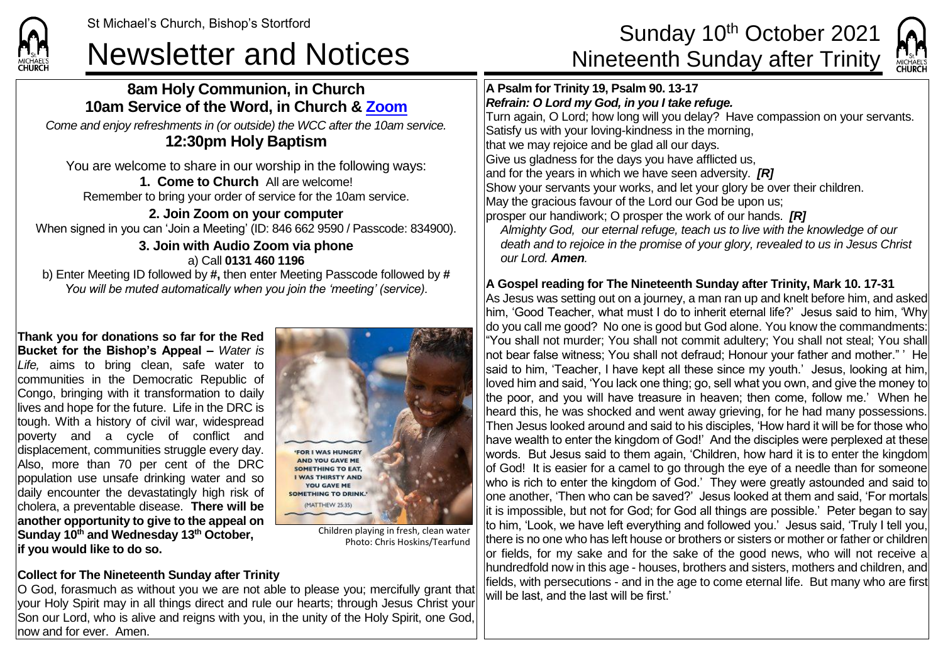

### Newsletter and Notices Nineteenth Sunday after Trinity

**8am Holy Communion, in Church 10am Service of the Word, in Church & [Zoom](https://zoom.us/)** *Come and enjoy refreshments in (or outside) the WCC after the 10am service.* **12:30pm Holy Baptism**

You are welcome to share in our worship in the following ways: **1. Come to Church** All are welcome! Remember to bring your order of service for the 10am service.

**2. Join Zoom on your computer** When signed in you can 'Join a Meeting' (ID: 846 662 9590 / Passcode: 834900).

**3. Join with Audio Zoom via phone** a) Call **0131 460 1196** b) Enter Meeting ID followed by **#,** then enter Meeting Passcode followed by **#** *You will be muted automatically when you join the 'meeting' (service).*

**Thank you for donations so far for the Red Bucket for the Bishop's Appeal –** *Water is Life,* aims to bring clean, safe water to communities in the Democratic Republic of Congo, bringing with it transformation to daily lives and hope for the future. Life in the DRC is tough. With a history of civil war, widespread poverty and a cycle of conflict and displacement, communities struggle every day. Also, more than 70 per cent of the DRC population use unsafe drinking water and so daily encounter the devastatingly high risk of cholera, a preventable disease. **There will be another opportunity to give to the appeal on Sunday 10th and Wednesday 13th October, if you would like to do so.**



Children playing in fresh, clean water Photo: Chris Hoskins/Tearfund

#### **Collect for The Nineteenth Sunday after Trinity**

O God, forasmuch as without you we are not able to please you; mercifully grant that your Holy Spirit may in all things direct and rule our hearts; through Jesus Christ your Son our Lord, who is alive and reigns with you, in the unity of the Holy Spirit, one God, now and for ever. Amen.

# St Michael's Church, Bishop's Stortford **Sunday 10<sup>th</sup> October 2021**



**A Psalm for Trinity 19, Psalm 90. 13-17** *Refrain: O Lord my God, in you I take refuge.* Turn again, O Lord; how long will you delay? Have compassion on your servants. Satisfy us with your loving-kindness in the morning, that we may rejoice and be glad all our days. Give us gladness for the days you have afflicted us, and for the years in which we have seen adversity. *[R]* Show your servants your works, and let your glory be over their children. May the gracious favour of the Lord our God be upon us; prosper our handiwork; O prosper the work of our hands. *[R] Almighty God, our eternal refuge, teach us to live with the knowledge of our death and to rejoice in the promise of your glory, revealed to us in Jesus Christ our Lord. Amen.*

#### **A Gospel reading for The Nineteenth Sunday after Trinity, Mark 10. 17-31**

As Jesus was setting out on a journey, a man ran up and knelt before him, and asked him, 'Good Teacher, what must I do to inherit eternal life?' Jesus said to him, 'Why do you call me good? No one is good but God alone. You know the commandments: "You shall not murder; You shall not commit adultery; You shall not steal; You shall not bear false witness; You shall not defraud; Honour your father and mother." ' He said to him, 'Teacher, I have kept all these since my youth.' Jesus, looking at him, loved him and said, 'You lack one thing; go, sell what you own, and give the money to the poor, and you will have treasure in heaven; then come, follow me.' When he heard this, he was shocked and went away grieving, for he had many possessions. Then Jesus looked around and said to his disciples, 'How hard it will be for those who have wealth to enter the kingdom of God!' And the disciples were perplexed at these words. But Jesus said to them again, 'Children, how hard it is to enter the kingdom of God! It is easier for a camel to go through the eye of a needle than for someone who is rich to enter the kingdom of God.' They were greatly astounded and said to one another, 'Then who can be saved?' Jesus looked at them and said, 'For mortals it is impossible, but not for God; for God all things are possible.' Peter began to say to him, 'Look, we have left everything and followed you.' Jesus said, 'Truly I tell you, there is no one who has left house or brothers or sisters or mother or father or children or fields, for my sake and for the sake of the good news, who will not receive a hundredfold now in this age - houses, brothers and sisters, mothers and children, and fields, with persecutions - and in the age to come eternal life. But many who are first will be last, and the last will be first.'